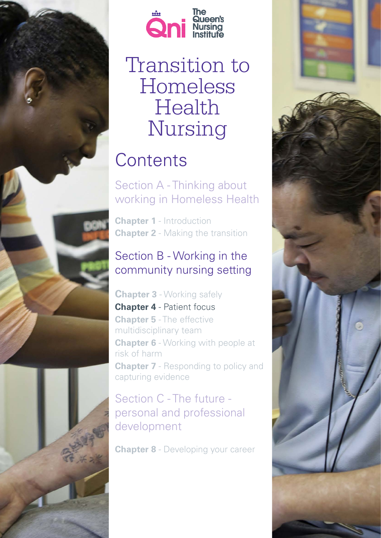

*1 Transition to Homeless Health Nursing -Chapter 4*



# Transition to Homeless Health Nursing

# **Contents**

Section A - Thinking about working in Homeless Health

**Chapter 1** - Introduction **Chapter 2** - Making the transition

# Section B - Working in the community nursing setting

**Chapter 3** - Working safely **Chapter 4** - Patient focus **Chapter 5** - The effective multidisciplinary team **Chapter 6** - Working with people at risk of harm **Chapter 7** - Responding to policy and capturing evidence

# Section C - The future personal and professional development

**Chapter 8** - Developing your career

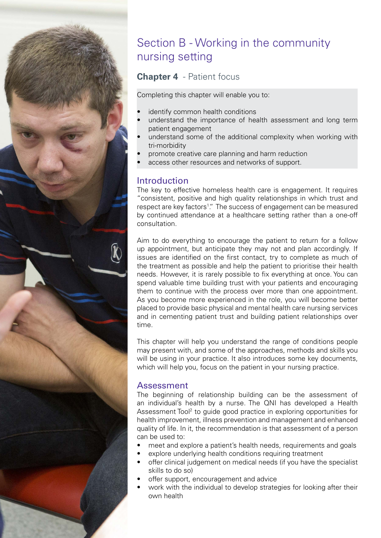

# Section B - Working in the community nursing setting

#### **Chapter 4** - Patient focus

Completing this chapter will enable you to:

- identify common health conditions
- understand the importance of health assessment and long term patient engagement
- understand some of the additional complexity when working with tri-morbidity
- promote creative care planning and harm reduction
- access other resources and networks of support.

#### Introduction

The key to effective homeless health care is engagement. It requires "consistent, positive and high quality relationships in which trust and respect are key factors<sup>1</sup>." The success of engagement can be measured by continued attendance at a healthcare setting rather than a one-off consultation.

Aim to do everything to encourage the patient to return for a follow up appointment, but anticipate they may not and plan accordingly. If issues are identified on the first contact, try to complete as much of the treatment as possible and help the patient to prioritise their health needs. However, it is rarely possible to fix everything at once. You can spend valuable time building trust with your patients and encouraging them to continue with the process over more than one appointment. As you become more experienced in the role, you will become better placed to provide basic physical and mental health care nursing services and in cementing patient trust and building patient relationships over time.

This chapter will help you understand the range of conditions people may present with, and some of the approaches, methods and skills you will be using in your practice. It also introduces some key documents, which will help you, focus on the patient in your nursing practice.

#### Assessment

The beginning of relationship building can be the assessment of an individual's health by a nurse. The QNI has developed a Health Assessment Tool<sup>2</sup> to guide good practice in exploring opportunities for health improvement, illness prevention and management and enhanced quality of life. In it, the recommendation is that assessment of a person can be used to:

- meet and explore a patient's health needs, requirements and goals
- explore underlying health conditions requiring treatment
- offer clinical judgement on medical needs (if you have the specialist skills to do so)
- offer support, encouragement and advice
- work with the individual to develop strategies for looking after their own health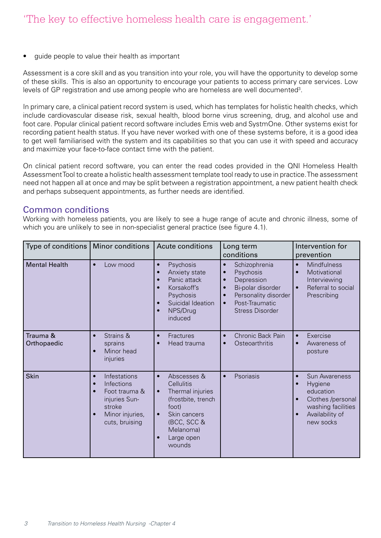guide people to value their health as important

Assessment is a core skill and as you transition into your role, you will have the opportunity to develop some of these skills. This is also an opportunity to encourage your patients to access primary care services. Low levels of GP registration and use among people who are homeless are well documented<sup>3</sup>.

In primary care, a clinical patient record system is used, which has templates for holistic health checks, which include cardiovascular disease risk, sexual health, blood borne virus screening, drug, and alcohol use and foot care. Popular clinical patient record software includes Emis web and SystmOne. Other systems exist for recording patient health status. If you have never worked with one of these systems before, it is a good idea to get well familiarised with the system and its capabilities so that you can use it with speed and accuracy and maximize your face-to-face contact time with the patient.

On clinical patient record software, you can enter the read codes provided in the QNI Homeless Health Assessment Tool to create a holistic health assessment template tool ready to use in practice. The assessment need not happen all at once and may be split between a registration appointment, a new patient health check and perhaps subsequent appointments, as further needs are identified.

#### Common conditions

Working with homeless patients, you are likely to see a huge range of acute and chronic illness, some of which you are unlikely to see in non-specialist general practice (see figure 4.1).

| Type of conditions      | <b>Minor conditions</b>                                                                                                                                         | <b>Acute conditions</b>                                                                                                                                                                        | Long term<br>conditions                                                                                                                                                                                         | Intervention for<br>prevention                                                                                                                     |
|-------------------------|-----------------------------------------------------------------------------------------------------------------------------------------------------------------|------------------------------------------------------------------------------------------------------------------------------------------------------------------------------------------------|-----------------------------------------------------------------------------------------------------------------------------------------------------------------------------------------------------------------|----------------------------------------------------------------------------------------------------------------------------------------------------|
| <b>Mental Health</b>    | Low mood<br>$\bullet$                                                                                                                                           | Psychosis<br>$\bullet$<br>Anxiety state<br>Panic attack<br>$\bullet$<br>Korsakoff's<br>$\bullet$<br>Psychosis<br>Suicidal Ideation<br>NPS/Drug<br>induced                                      | Schizophrenia<br>$\bullet$<br>Psychosis<br>$\bullet$<br>Depression<br>$\bullet$<br>Bi-polar disorder<br>$\bullet$<br>Personality disorder<br>$\bullet$<br>Post-Traumatic<br>$\bullet$<br><b>Stress Disorder</b> | Mindfulness<br>$\bullet$<br>Motivational<br>$\epsilon$<br>Interviewing<br>Referral to social<br>$\bullet$<br>Prescribing                           |
| Trauma &<br>Orthopaedic | Strains &<br>$\bullet$<br>sprains<br>Minor head<br>$\bullet$<br>injuries                                                                                        | Fractures<br>$\bullet$<br>Head trauma                                                                                                                                                          | Chronic Back Pain<br>$\bullet$<br>Osteoarthritis<br>$\bullet$                                                                                                                                                   | Exercise<br>$\bullet$<br>Awareness of<br>posture                                                                                                   |
| <b>Skin</b>             | Infestations<br>$\bullet$<br>Infections<br>$\bullet$<br>Foot trauma &<br>$\bullet$<br>injuries Sun-<br>stroke<br>Minor injuries,<br>$\bullet$<br>cuts, bruising | Abscesses &<br>$\bullet$<br><b>Cellulitis</b><br>Thermal injuries<br>$\bullet$<br>(frostbite, trench<br>foot)<br>Skin cancers<br>$\bullet$<br>(BCC, SCC &<br>Melanoma)<br>Large open<br>wounds | Psoriasis<br>$\bullet$                                                                                                                                                                                          | <b>Sun Awareness</b><br>$\bullet$<br>Hygiene<br>education<br>Clothes /personal<br>washing facilities<br>Availability of<br>$\epsilon$<br>new socks |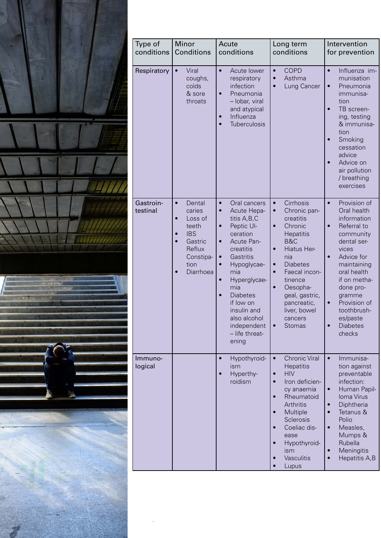|                          | Type of<br>conditions |
|--------------------------|-----------------------|
|                          | Respiratory           |
|                          |                       |
| W EN HA                  | Gastroin-<br>testinal |
|                          |                       |
|                          | Immuno-               |
| ,,,,,,,,,,,,,,,,,,,,,,,, | logical               |
|                          |                       |

| Type of<br>conditions | Minor<br><b>Conditions</b>                                                                                             | Acute<br>conditions                                                                                                                                                                                                                                                                                                                                             | Long term<br>conditions                                                                                                                                                                                                                                                                                                        | Intervention<br>for prevention                                                                                                                                                                                                                                                                                |
|-----------------------|------------------------------------------------------------------------------------------------------------------------|-----------------------------------------------------------------------------------------------------------------------------------------------------------------------------------------------------------------------------------------------------------------------------------------------------------------------------------------------------------------|--------------------------------------------------------------------------------------------------------------------------------------------------------------------------------------------------------------------------------------------------------------------------------------------------------------------------------|---------------------------------------------------------------------------------------------------------------------------------------------------------------------------------------------------------------------------------------------------------------------------------------------------------------|
| Respiratory           | Viral<br>coughs,<br>colds<br>& sore<br>throats                                                                         | Acute lower<br>$\bullet$<br>respiratory<br>infection<br>Pneumonia<br>$\bullet$<br>- lobar, viral<br>and atypical<br>Influenza<br>$\bullet$<br><b>Tuberculosis</b>                                                                                                                                                                                               | <b>COPD</b><br>$\bullet$<br>Asthma<br>Lung Cancer                                                                                                                                                                                                                                                                              | $\bullet$<br>Influenza im-<br>munisation<br>Pneumonia<br>$\bullet$<br>immunisa-<br>tion<br>TB screen-<br>$\bullet$<br>ing, testing<br>& immunisa-<br>tion<br>Smoking<br>cessation<br>advice<br>Advice on<br>air pollution<br>/ breathing<br>exercises                                                         |
| Gastroin-<br>testinal | Dental<br>$\bullet$<br>caries<br>Loss of<br>teeth<br><b>IBS</b><br>Gastric<br>Reflux<br>Constipa-<br>tion<br>Diarrhoea | Oral cancers<br>$\bullet$<br>Acute Hepa-<br>$\bullet$<br>titis A, B, C<br>Peptic UI-<br>$\bullet$<br>ceration<br>Acute Pan-<br>$\bullet$<br>creatitis<br>Gastritis<br>$\bullet$<br>Hypoglycae-<br>$\bullet$<br>mia<br>Hyperglycae-<br>$\bullet$<br>mia<br><b>Diabetes</b><br>if low on<br>insulin and<br>also alcohol<br>independent<br>- life threat-<br>ening | Cirrhosis<br>$\bullet$<br>Chronic pan-<br>$\bullet$<br>creatitis<br>Chronic<br>$\bullet$<br>Hepatitis<br>B&C<br>Hiatus Her-<br>$\bullet$<br>nia<br><b>Diabetes</b><br>$\bullet$<br>Faecal incon-<br>$\bullet$<br>tinence<br>Oesopha-<br>$\bullet$<br>geal, gastric,<br>pancreatic,<br>liver, bowel<br>cancers<br><b>Stomas</b> | Provision of<br>$\bullet$<br>Oral health<br>information<br>Referral to<br>$\bullet$<br>community<br>dental ser-<br>vices<br>Advice for<br>$\bullet$<br>maintaining<br>oral health<br>if on metha-<br>done pro-<br>gramme<br>Provision of<br>$\bullet$<br>toothbrush-<br>es/paste<br><b>Diabetes</b><br>checks |
| Immuno-<br>logical    |                                                                                                                        | Hypothyroid-<br>$\bullet$<br>ism<br>Hyperthy-<br>roidism                                                                                                                                                                                                                                                                                                        | <b>Chronic Viral</b><br><b>Hepatitis</b><br><b>HIV</b><br>Iron deficien-<br>cy anaemia<br>Rheumatoid<br><b>Arthritis</b><br>Multiple<br>Sclerosis<br>Coeliac dis-<br>ease<br>Hypothyroid-<br>ism<br>Vasculitis<br>Lupus                                                                                                        | $\bullet$<br>Immunisa-<br>tion against<br>preventable<br>infection:<br>Human Papil-<br>$\bullet$<br>Ioma Virus<br>Diphtheria<br>$\bullet$<br>Tetanus &<br>$\bullet$<br>Polio<br>Measles,<br>$\bullet$<br>Mumps &<br>Rubella<br>Meningitis<br>$\bullet$<br>Hepatitis A, B                                      |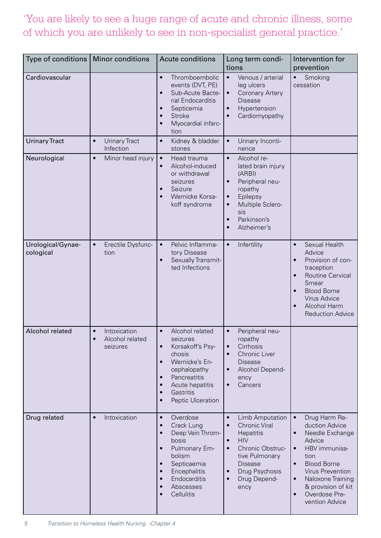'You are likely to see a huge range of acute and chronic illness, some of which you are unlikely to see in non-specialist general practice.'

| Type of conditions             | <b>Minor conditions</b>                                  | Acute conditions                                                                                                                                                                                                                                                              | Long term condi-<br>tions                                                                                                                                                                                                                          | Intervention for<br>prevention                                                                                                                                                                                                                                                                     |
|--------------------------------|----------------------------------------------------------|-------------------------------------------------------------------------------------------------------------------------------------------------------------------------------------------------------------------------------------------------------------------------------|----------------------------------------------------------------------------------------------------------------------------------------------------------------------------------------------------------------------------------------------------|----------------------------------------------------------------------------------------------------------------------------------------------------------------------------------------------------------------------------------------------------------------------------------------------------|
| Cardiovascular                 |                                                          | Thromboembolic<br>$\bullet$<br>events (DVT, PE)<br>Sub-Acute Bacte-<br>$\bullet$<br>rial Endocarditis<br>Septicemia<br>$\bullet$<br><b>Stroke</b><br>$\bullet$<br>Myocardial infarc-<br>$\bullet$<br>tion                                                                     | $\bullet$<br>Venous / arterial<br>leg ulcers<br><b>Coronary Artery</b><br>$\bullet$<br><b>Disease</b><br>Hypertension<br>$\bullet$<br>Cardiomyopathy<br>$\bullet$                                                                                  | Smoking<br>$\bullet$<br>cessation                                                                                                                                                                                                                                                                  |
| <b>Urinary Tract</b>           | <b>Urinary Tract</b><br>$\bullet$<br>Infection           | Kidney & bladder<br>$\bullet$<br>stones                                                                                                                                                                                                                                       | Urinary Inconti-<br>$\bullet$<br>nence                                                                                                                                                                                                             |                                                                                                                                                                                                                                                                                                    |
| Neurological                   | Minor head injury<br>$\bullet$                           | Head trauma<br>$\bullet$<br>Alcohol-induced<br>or withdrawal<br>seizures<br>Seizure<br>$\bullet$<br>Wernicke Korsa-<br>$\bullet$<br>koff syndrome                                                                                                                             | Alcohol re-<br>$\bullet$<br>lated brain injury<br>(ARBI)<br>Peripheral neu-<br>$\bullet$<br>ropathy<br>Epilepsy<br>$\bullet$<br>Multiple Sclero-<br>sis<br>Parkinson's<br>$\bullet$<br>Alzheimer's                                                 |                                                                                                                                                                                                                                                                                                    |
| Urological/Gynae-<br>cological | Erectile Dysfunc-<br>$\bullet$<br>tion                   | Pelvic Inflamma-<br>$\bullet$<br>tory Disease<br>Sexually Transmit-<br>$\bullet$<br>ted Infections                                                                                                                                                                            | Infertility                                                                                                                                                                                                                                        | Sexual Health<br>$\bullet$<br>Advice<br>Provision of con-<br>$\bullet$<br>traception<br>Routine Cervical<br>$\bullet$<br>Smear<br><b>Blood Borne</b><br>$\bullet$<br><b>Virus Advice</b><br>Alcohol Harm<br>$\bullet$<br><b>Reduction Advice</b>                                                   |
| Alcohol related                | Intoxication<br>$\bullet$<br>Alcohol related<br>seizures | Alcohol related<br>$\bullet$<br>seizures<br>Korsakoff's Psy-<br>$\bullet$<br>chosis<br>Wernicke's En-<br>$\bullet$<br>cephalopathy<br>Pancreatitis<br>$\bullet$<br>Acute hepatitis<br>$\bullet$<br>Gastritis<br>$\bullet$<br>Peptic Ulceration<br>$\bullet$                   | Peripheral neu-<br>ropathy<br>Cirrhosis<br>$\bullet$<br>Chronic Liver<br><b>Disease</b><br>Alcohol Depend-<br>ency<br>Cancers                                                                                                                      |                                                                                                                                                                                                                                                                                                    |
| Drug related                   | Intoxication<br>$\bullet$                                | Overdose<br>$\bullet$<br>Crack Lung<br>$\bullet$<br>Deep Vein Throm-<br>$\bullet$<br>bosis<br>Pulmonary Em-<br>$\bullet$<br>bolism<br>Septicaemia<br>$\bullet$<br>Encephalitis<br>$\bullet$<br>Endocarditis<br>$\bullet$<br>Abscesses<br>$\bullet$<br>Cellulitis<br>$\bullet$ | Limb Amputation<br>$\bullet$<br><b>Chronic Viral</b><br>$\bullet$<br>Hepatitis<br><b>HIV</b><br>$\bullet$<br>Chronic Obstruc-<br>$\bullet$<br>tive Pulmonary<br><b>Disease</b><br>Drug Psychosis<br>$\bullet$<br>Drug Depend-<br>$\bullet$<br>ency | Drug Harm Re-<br>$\bullet$<br>duction Advice<br>Needle Exchange<br>$\bullet$<br>Advice<br>HBV immunisa-<br>$\bullet$<br>tion<br><b>Blood Borne</b><br>$\bullet$<br><b>Virus Prevention</b><br>Naloxone Training<br>$\bullet$<br>& provision of kit<br>Overdose Pre-<br>$\bullet$<br>vention Advice |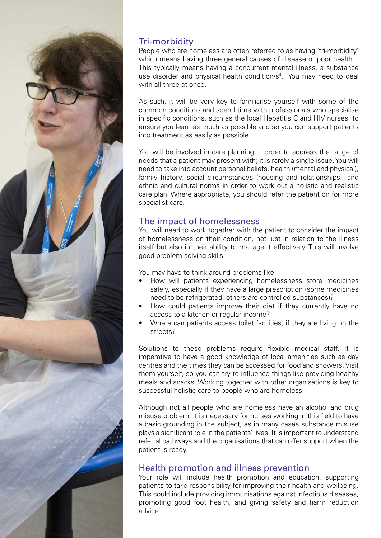

### Tri-morbidity

People who are homeless are often referred to as having 'tri-morbidity' which means having three general causes of disease or poor health... This typically means having a concurrent mental illness, a substance use disorder and physical health condition/s<sup>4</sup>. You may need to deal with all three at once.

As such, it will be very key to familiarise yourself with some of the common conditions and spend time with professionals who specialise in specific conditions, such as the local Hepatitis C and HIV nurses, to ensure you learn as much as possible and so you can support patients into treatment as easily as possible.

You will be involved in care planning in order to address the range of needs that a patient may present with; it is rarely a single issue. You will need to take into account personal beliefs, health (mental and physical), family history, social circumstances (housing and relationships), and ethnic and cultural norms in order to work out a holistic and realistic care plan. Where appropriate, you should refer the patient on for more specialist care.

#### The impact of homelessness

You will need to work together with the patient to consider the impact of homelessness on their condition, not just in relation to the illness itself but also in their ability to manage it effectively. This will involve good problem solving skills.

You may have to think around problems like:

- How will patients experiencing homelessness store medicines safely, especially if they have a large prescription (some medicines need to be refrigerated, others are controlled substances)?
- How could patients improve their diet if they currently have no access to a kitchen or regular income?
- Where can patients access toilet facilities, if they are living on the streets?

Solutions to these problems require flexible medical staff. It is imperative to have a good knowledge of local amenities such as day centres and the times they can be accessed for food and showers. Visit them yourself, so you can try to influence things like providing healthy meals and snacks. Working together with other organisations is key to successful holistic care to people who are homeless.

Although not all people who are homeless have an alcohol and drug misuse problem, it is necessary for nurses working in this field to have a basic grounding in the subject, as in many cases substance misuse plays a significant role in the patients' lives. It is important to understand referral pathways and the organisations that can offer support when the patient is ready.

#### Health promotion and illness prevention

Your role will include health promotion and education, supporting patients to take responsibility for improving their health and wellbeing. This could include providing immunisations against infectious diseases, promoting good foot health, and giving safety and harm reduction advice.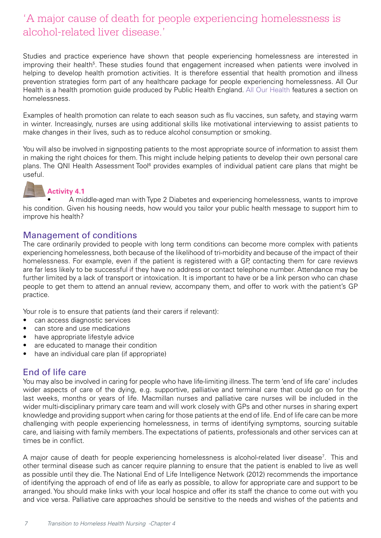### 'A major cause of death for people experiencing homelessness is alcohol-related liver disease.'

Studies and practice experience have shown that people experiencing homelessness are interested in improving their health<sup>5</sup>. These studies found that engagement increased when patients were involved in helping to develop health promotion activities. It is therefore essential that health promotion and illness prevention strategies form part of any healthcare package for people experiencing homelessness. All Our Health is a health promotion guide produced by Public Health England. [All Our Health](https://www.gov.uk/government/publications/homelessness-applying-all-our-health/homelessness-applying-all-our-health) features a section on homelessness.

Examples of health promotion can relate to each season such as flu vaccines, sun safety, and staying warm in winter. Increasingly, nurses are using additional skills like motivational interviewing to assist patients to make changes in their lives, such as to reduce alcohol consumption or smoking.

You will also be involved in signposting patients to the most appropriate source of information to assist them in making the right choices for them. This might include helping patients to develop their own personal care plans. The QNI Health Assessment Tool<sup>6</sup> provides examples of individual patient care plans that might be useful.

### **Activity 4.1**

A middle-aged man with Type 2 Diabetes and experiencing homelessness, wants to improve his condition. Given his housing needs, how would you tailor your public health message to support him to improve his health?

#### Management of conditions

The care ordinarily provided to people with long term conditions can become more complex with patients experiencing homelessness, both because of the likelihood of tri-morbidity and because of the impact of their homelessness. For example, even if the patient is registered with a GP, contacting them for care reviews are far less likely to be successful if they have no address or contact telephone number. Attendance may be further limited by a lack of transport or intoxication. It is important to have or be a link person who can chase people to get them to attend an annual review, accompany them, and offer to work with the patient's GP practice.

Your role is to ensure that patients (and their carers if relevant):

- can access diagnostic services
- can store and use medications
- have appropriate lifestyle advice
- are educated to manage their condition
- have an individual care plan (if appropriate)

#### End of life care

You may also be involved in caring for people who have life-limiting illness. The term 'end of life care' includes wider aspects of care of the dying, e.g. supportive, palliative and terminal care that could go on for the last weeks, months or years of life. Macmillan nurses and palliative care nurses will be included in the wider multi-disciplinary primary care team and will work closely with GPs and other nurses in sharing expert knowledge and providing support when caring for those patients at the end of life. End of life care can be more challenging with people experiencing homelessness, in terms of identifying symptoms, sourcing suitable care, and liaising with family members. The expectations of patients, professionals and other services can at times be in conflict.

A major cause of death for people experiencing homelessness is alcohol-related liver disease<sup>7</sup>. This and other terminal disease such as cancer require planning to ensure that the patient is enabled to live as well as possible until they die. The National End of Life Intelligence Network (2012) recommends the importance of identifying the approach of end of life as early as possible, to allow for appropriate care and support to be arranged. You should make links with your local hospice and offer its staff the chance to come out with you and vice versa. Palliative care approaches should be sensitive to the needs and wishes of the patients and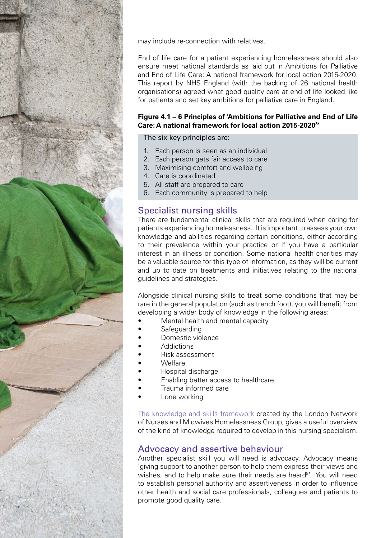

may include re-connection with relatives.

End of life care for a patient experiencing homelessness should also ensure meet national standards as laid out in Ambitions for Palliative and End of Life Care: A national framework for local action 2015-2020. This report by NHS England (with the backing of 26 national health organisations) agreed what good quality care at end of life looked like for patients and set key ambitions for palliative care in England.

#### **Figure 4.1 – 6 Principles of 'Ambitions for Palliative and End of Life Care: A national framework for local action 2015-20208 '**

The six key principles are:

- 1. Each person is seen as an individual
- 2. Each person gets fair access to care
- 3. Maximising comfort and wellbeing
- 4. Care is coordinated
- 5. All staff are prepared to care
- 6. Each community is prepared to help

#### Specialist nursing skills

There are fundamental clinical skills that are required when caring for patients experiencing homelessness. It is important to assess your own knowledge and abilities regarding certain conditions, either according to their prevalence within your practice or if you have a particular interest in an illness or condition. Some national health charities may be a valuable source for this type of information, as they will be current and up to date on treatments and initiatives relating to the national guidelines and strategies.

Alongside clinical nursing skills to treat some conditions that may be rare in the general population (such as trench foot), you will benefit from developing a wider body of knowledge in the following areas:

- Mental health and mental capacity
- **Safeguarding**
- Domestic violence
- **Addictions**
- Risk assessment
- Welfare
- Hospital discharge
- Enabling better access to healthcare
- Trauma informed care
- Lone working

[The knowledge and skills framework](http://homelesshealthnetwork.net/resources/homeless-health-knowledge-skills-framework/) created by the London Network of Nurses and Midwives Homelessness Group, gives a useful overview of the kind of knowledge required to develop in this nursing specialism.

#### Advocacy and assertive behaviour

Another specialist skill you will need is advocacy. Advocacy means 'giving support to another person to help them express their views and wishes, and to help make sure their needs are heard<sup>9</sup>'. You will need to establish personal authority and assertiveness in order to influence other health and social care professionals, colleagues and patients to promote good quality care.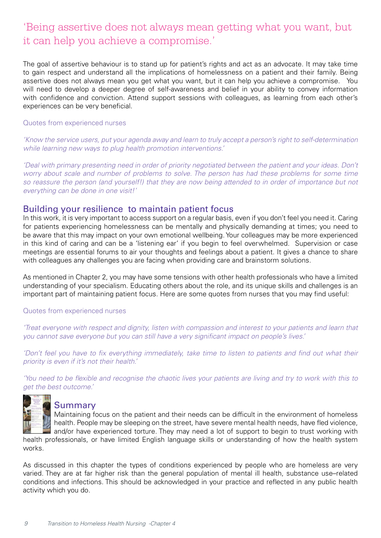## 'Being assertive does not always mean getting what you want, but it can help you achieve a compromise.'

The goal of assertive behaviour is to stand up for patient's rights and act as an advocate. It may take time to gain respect and understand all the implications of homelessness on a patient and their family. Being assertive does not always mean you get what you want, but it can help you achieve a compromise. You will need to develop a deeper degree of self-awareness and belief in your ability to convey information with confidence and conviction. Attend support sessions with colleagues, as learning from each other's experiences can be very beneficial.

#### Quotes from experienced nurses

*'Know the service users, put your agenda away and learn to truly accept a person's right to self-determination while learning new ways to plug health promotion interventions.'*

'Deal with primary presenting need in order of priority negotiated between the patient and your ideas. Don't *worry about scale and number of problems to solve. The person has had these problems for some time so reassure the person (and yourself!) that they are now being attended to in order of importance but not everything can be done in one visit!'*

#### Building your resilience to maintain patient focus

In this work, it is very important to access support on a regular basis, even if you don't feel you need it. Caring for patients experiencing homelessness can be mentally and physically demanding at times; you need to be aware that this may impact on your own emotional wellbeing. Your colleagues may be more experienced in this kind of caring and can be a 'listening ear' if you begin to feel overwhelmed. Supervision or case meetings are essential forums to air your thoughts and feelings about a patient. It gives a chance to share with colleagues any challenges you are facing when providing care and brainstorm solutions.

As mentioned in Chapter 2, you may have some tensions with other health professionals who have a limited understanding of your specialism. Educating others about the role, and its unique skills and challenges is an important part of maintaining patient focus. Here are some quotes from nurses that you may find useful:

#### Quotes from experienced nurses

*'Treat everyone with respect and dignity, listen with compassion and interest to your patients and learn that you cannot save everyone but you can still have a very significant impact on people's lives.'*

*'Don't feel you have to fix everything immediately, take time to listen to patients and find out what their priority is even if it's not their health.'*

*'You need to be flexible and recognise the chaotic lives your patients are living and try to work with this to get the best outcome.'*



#### Summary

Maintaining focus on the patient and their needs can be difficult in the environment of homeless health. People may be sleeping on the street, have severe mental health needs, have fled violence, and/or have experienced torture. They may need a lot of support to begin to trust working with

health professionals, or have limited English language skills or understanding of how the health system works.

As discussed in this chapter the types of conditions experienced by people who are homeless are very varied. They are at far higher risk than the general population of mental ill health, substance use–related conditions and infections. This should be acknowledged in your practice and reflected in any public health activity which you do.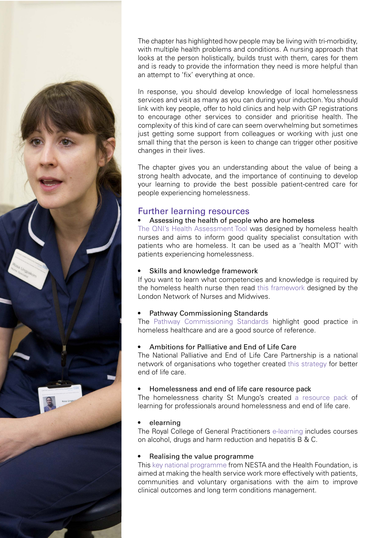*10 Transition to Homeless Health Nursing -Chapter 4*

The chapter has highlighted how people may be living with tri-morbidity, with multiple health problems and conditions. A nursing approach that looks at the person holistically, builds trust with them, cares for them and is ready to provide the information they need is more helpful than an attempt to 'fix' everything at once.

In response, you should develop knowledge of local homelessness services and visit as many as you can during your induction. You should link with key people, offer to hold clinics and help with GP registrations to encourage other services to consider and prioritise health. The complexity of this kind of care can seem overwhelming but sometimes just getting some support from colleagues or working with just one small thing that the person is keen to change can trigger other positive changes in their lives.

The chapter gives you an understanding about the value of being a strong health advocate, and the importance of continuing to develop your learning to provide the best possible patient-centred care for people experiencing homelessness.

#### Further learning resources

#### • Assessing the health of people who are homeless

[The QNI's Health Assessment Tool](https://www.qni.org.uk/explore-qni/homeless-health-programme/homeless-health-guides-reports/) was designed by homeless health nurses and aims to inform good quality specialist consultation with patients who are homeless. It can be used as a 'health MOT' with patients experiencing homelessness.

#### Skills and knowledge framework

If you want to learn what competencies and knowledge is required by the homeless health nurse then read [this framework](http://homelesshealthnetwork.net/resources/) designed by the London Network of Nurses and Midwives.

#### Pathway Commissioning Standards

The [Pathway Commissioning Standards](http://www.pathway.org.uk/wp-content/uploads/2014/01/Standards-for-commissioners-providers-v2.0-INTERACTIVE.pdf) highlight good practice in homeless healthcare and are a good source of reference.

#### Ambitions for Palliative and End of Life Care

The National Palliative and End of Life Care Partnership is a national network of organisations who together created [this strategy](http://endoflifecareambitions.org.uk/) for better end of life care.

#### Homelessness and end of life care resource pack

The homelessness charity St Mungo's created [a resource pack](http://www.mungos.org/endoflifecare) of learning for professionals around homelessness and end of life care.

#### elearning

The Royal College of General Practitioners [e-learning](http://elearning.rcgp.org.uk/) includes courses on alcohol, drugs and harm reduction and hepatitis B & C.

#### Realising the value programme

This [key national programme](https://www.england.nhs.uk/ourwork/patient-participation/self-care/value-prog/) from NESTA and the Health Foundation, is aimed at making the health service work more effectively with patients, communities and voluntary organisations with the aim to improve clinical outcomes and long term conditions management.